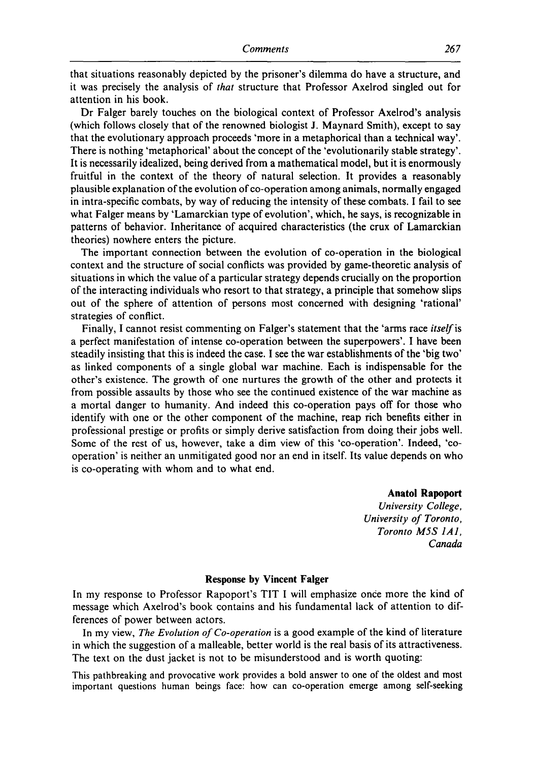that situations reasonably depicted by the prisoner's dilemma do have a structure, and it was precisely the analysis of that structure that Professor Axelrod singled out for attention in his book.

Dr Falger barely touches on the biological context of Professor Axelrod's analysis (which follows closely that of the renowned biologist J. Maynard Smith), except to say that the evolutionary approach proceeds 'more in a metaphorical than a technical way'. There is nothing 'metaphorical' about the concept of the 'evolutionarily stable strategy'. It is necessarily idealized, being derived from a mathematical model, but it is enormously fruitful in the context of the theory of natural selection. It provides a reasonably plausible explanation of the evolution of co-operation among animals, normally engaged in intra-specific combats, by way of reducing the intensity of these combats. I fail to see what Falger means by 'Lamarckian type of evolution', which, he says, is recognizable in patterns of behavior. Inheritance of acquired characteristics (the crux of Lamarckian theories) nowhere enters the picture.

The important connection between the evolution of co-operation in the biological context and the structure of social conflicts was provided by game-theoretic analysis of situations in which the value of a particular strategy depends crucially on the proportion of the interacting individuals who resort to that strategy, a principle that somehow slips out of the sphere of attention of persons most concerned with designing 'rational' strategies of conflict.

Finally, I cannot resist commenting on Falger's statement that the 'arms race itself is a perfect manifestation of intense co-operation between the superpowers'. I have been steadily insisting that this is indeed the case. I see the war establishments of the 'big two' as linked components of a single global war machine. Each is indispensable for the other's existence. The growth of one nurtures the growth of the other and protects it from possible assaults by those who see the continued existence of the war machine as a mortal danger to humanity. And indeed this co-operation pays off for those who identify with one or the other component of the machine, reap rich benefits either in professional prestige or profits or simply derive satisfaction from doing their jobs well. Some of the rest of us, however, take a dim view of this 'co-operation'. Indeed, 'cooperation' is neither an unmitigated good nor an end in itself. Its value depends on who is co-operating with whom and to what end.

> Anatol Rapoport University College, University of Toronto, Toronto M5S IAI, Canada

## Response by Vincent Falger

In my response to Professor Rapoport's TIT I will emphasize once more the kind of message which Axelrod's book contains and his fundamental lack of attention to differences of power between actors.

In my view, *The Evolution of Co-operation* is a good example of the kind of literature in which the suggestion of a malleable, better world is the real basis of its attractiveness. The text on the dust jacket is not to be misunderstood and is worth quoting:

This pathbreaking and provocative work provides a bold answer to one of the oldest and most important questions human beings face: how can co-operation emerge among self-seeking